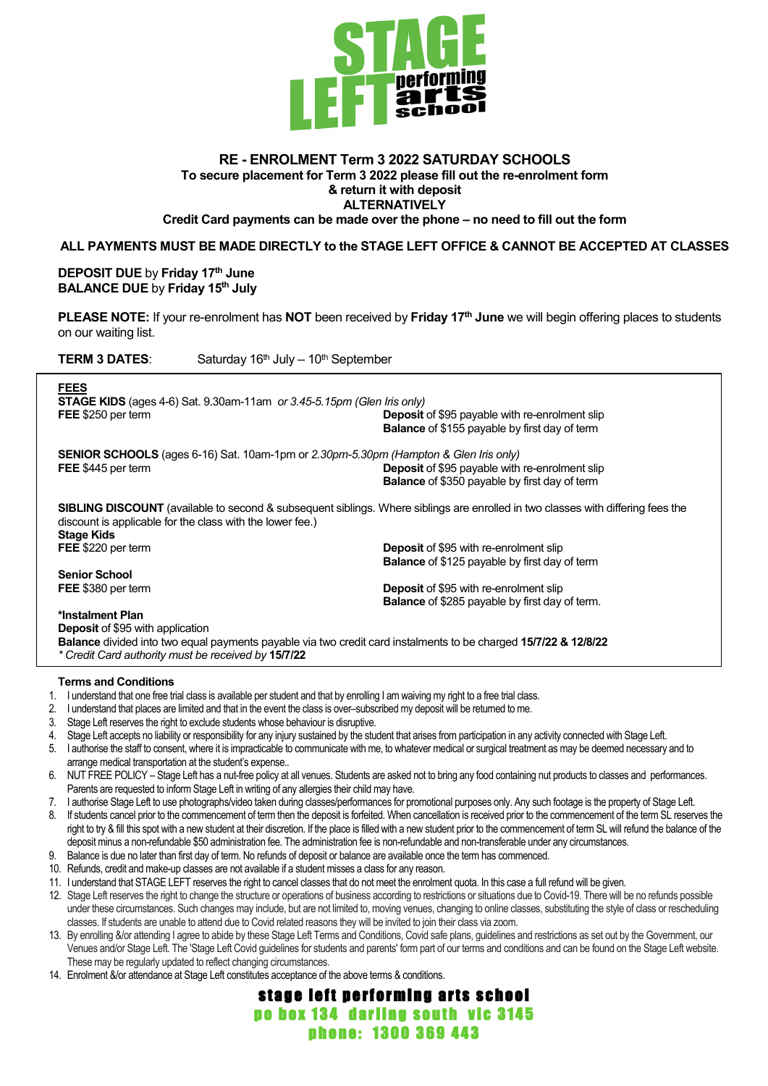

# **RE - ENROLMENT Term 3 2022 SATURDAY SCHOOLS To secure placement for Term 3 2022 please fill out the re-enrolment form & return it with deposit ALTERNATIVELY**

**Credit Card payments can be made over the phone – no need to fill out the form**

### **ALL PAYMENTS MUST BE MADE DIRECTLY to the STAGE LEFT OFFICE & CANNOT BE ACCEPTED AT CLASSES**

**DEPOSIT DUE** by **Friday 17th June BALANCE DUE** by **Friday 15th July**

**PLEASE NOTE:** If your re-enrolment has **NOT** been received by **Friday 17th June** we will begin offering places to students on our waiting list.

**TERM 3 DATES:** Saturday 16<sup>th</sup> July – 10<sup>th</sup> September

| <b>FEES</b><br><b>STAGE KIDS</b> (ages 4-6) Sat. 9.30am-11am or 3.45-5.15pm (Glen Iris only)<br>FEE \$250 per term                                                                                                       | <b>Deposit</b> of \$95 payable with re-enrolment slip<br><b>Balance</b> of \$155 payable by first day of term |  |  |
|--------------------------------------------------------------------------------------------------------------------------------------------------------------------------------------------------------------------------|---------------------------------------------------------------------------------------------------------------|--|--|
| <b>SENIOR SCHOOLS</b> (ages 6-16) Sat. 10am-1pm or 2.30pm-5.30pm (Hampton & Glen Iris only)<br>FEE \$445 per term                                                                                                        | <b>Deposit of \$95 payable with re-enrolment slip</b><br><b>Balance</b> of \$350 payable by first day of term |  |  |
| <b>SIBLING DISCOUNT</b> (available to second & subsequent siblings. Where siblings are enrolled in two classes with differing fees the<br>discount is applicable for the class with the lower fee.)<br><b>Stage Kids</b> |                                                                                                               |  |  |
| FEE \$220 per term                                                                                                                                                                                                       | <b>Deposit</b> of \$95 with re-enrolment slip                                                                 |  |  |
|                                                                                                                                                                                                                          | <b>Balance</b> of \$125 payable by first day of term                                                          |  |  |
| <b>Senior School</b>                                                                                                                                                                                                     |                                                                                                               |  |  |
| FEE \$380 per term                                                                                                                                                                                                       | <b>Deposit</b> of \$95 with re-enrolment slip                                                                 |  |  |
|                                                                                                                                                                                                                          | <b>Balance</b> of \$285 payable by first day of term.                                                         |  |  |
| *Instalment Plan                                                                                                                                                                                                         |                                                                                                               |  |  |
| <b>Deposit of \$95 with application</b>                                                                                                                                                                                  |                                                                                                               |  |  |
| <b>Balance</b> divided into two equal payments payable via two credit card instalments to be charged 15/7/22 & 12/8/22                                                                                                   |                                                                                                               |  |  |
| * Credit Card authority must be received by 15/7/22                                                                                                                                                                      |                                                                                                               |  |  |
|                                                                                                                                                                                                                          |                                                                                                               |  |  |

#### **Terms and Conditions**

- 1. I understand that one free trial class is available per student and that by enrolling I am waiving my right to a free trial class.
- 2. I understand that places are limited and that in the event the class is over–subscribed my deposit will be returned to me.
- 3. Stage Left reserves the right to exclude students whose behaviour is disruptive.
- 4. Stage Left accepts no liability or responsibility for any injury sustained by the student that arises from participation in any activity connected with Stage Left.
- 5. I authorise the staff to consent, where it is impracticable to communicate with me, to whatever medical or surgical treatment as may be deemed necessary and to arrange medical transportation at the student's expense..
- 6. NUT FREE POLICY Stage Left has a nut-free policy at all venues. Students are asked not to bring any food containing nut products to classes and performances. Parents are requested to inform Stage Left in writing of any allergies their child may have.
- 7. I authorise Stage Left to use photographs/video taken during classes/performances for promotional purposes only. Any such footage is the property of Stage Left.
- 8. If students cancel prior to the commencement of term then the deposit is forfeited. When cancellation is received prior to the commencement of the term SL reserves the right to try & fill this spot with a new student at their discretion. If the place is filled with a new student prior to the commencement of term SL will refund the balance of the deposit minus a non-refundable \$50 administration fee. The administration fee is non-refundable and non-transferable under any circumstances.
- 9. Balance is due no later than first day of term. No refunds of deposit or balance are available once the term has commenced.
- 10. Refunds, credit and make-up classes are not available if a student misses a class for any reason.
- 11. I understand that STAGE LEFT reserves the right to cancel classes that do not meet the enrolment quota. In this case a full refund will be given.
- 12. Stage Left reserves the right to change the structure or operations of business according to restrictions or situations due to Covid-19. There will be no refunds possible under these circumstances. Such changes may include, but are not limited to, moving venues, changing to online classes, substituting the style of class or rescheduling classes. If students are unable to attend due to Covid related reasons they will be invited to join their class via zoom.
- 13. By enrolling &/or attending I agree to abide by these Stage Left Terms and Conditions, Covid safe plans, guidelines and restrictions as set out by the Government, our Venues and/or Stage Left. The 'Stage Left Covid guidelines for students and parents' form part of our terms and conditions and can be found on the Stage Left website. These may be regularly updated to reflect changing circumstances.

stage left performing arts school po box 134 darling south vic 3145 phone: 1300 369 443

14. Enrolment &/or attendance at Stage Left constitutes acceptance of the above terms & conditions.